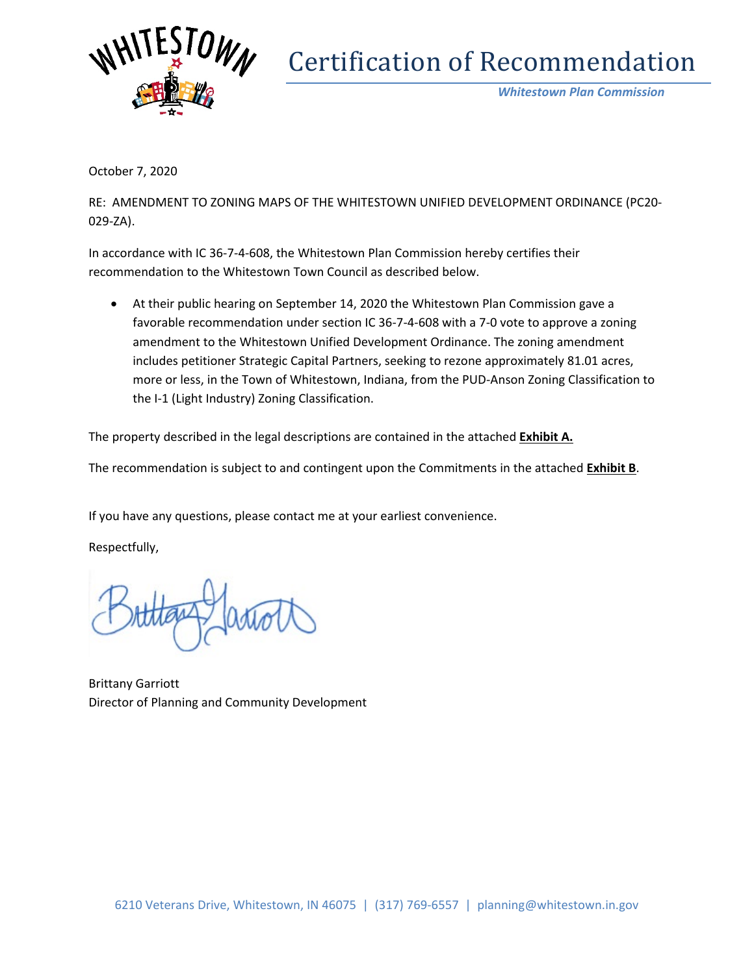

# Certification of Recommendation

*Whitestown Plan Commission*

October 7, 2020

RE: AMENDMENT TO ZONING MAPS OF THE WHITESTOWN UNIFIED DEVELOPMENT ORDINANCE (PC20- 029-ZA).

In accordance with IC 36-7-4-608, the Whitestown Plan Commission hereby certifies their recommendation to the Whitestown Town Council as described below.

• At their public hearing on September 14, 2020 the Whitestown Plan Commission gave a favorable recommendation under section IC 36-7-4-608 with a 7-0 vote to approve a zoning amendment to the Whitestown Unified Development Ordinance. The zoning amendment includes petitioner Strategic Capital Partners, seeking to rezone approximately 81.01 acres, more or less, in the Town of Whitestown, Indiana, from the PUD-Anson Zoning Classification to the I-1 (Light Industry) Zoning Classification.

The property described in the legal descriptions are contained in the attached **Exhibit A.**

The recommendation is subject to and contingent upon the Commitments in the attached **Exhibit B**.

If you have any questions, please contact me at your earliest convenience.

Respectfully,

Brittany Garriott Director of Planning and Community Development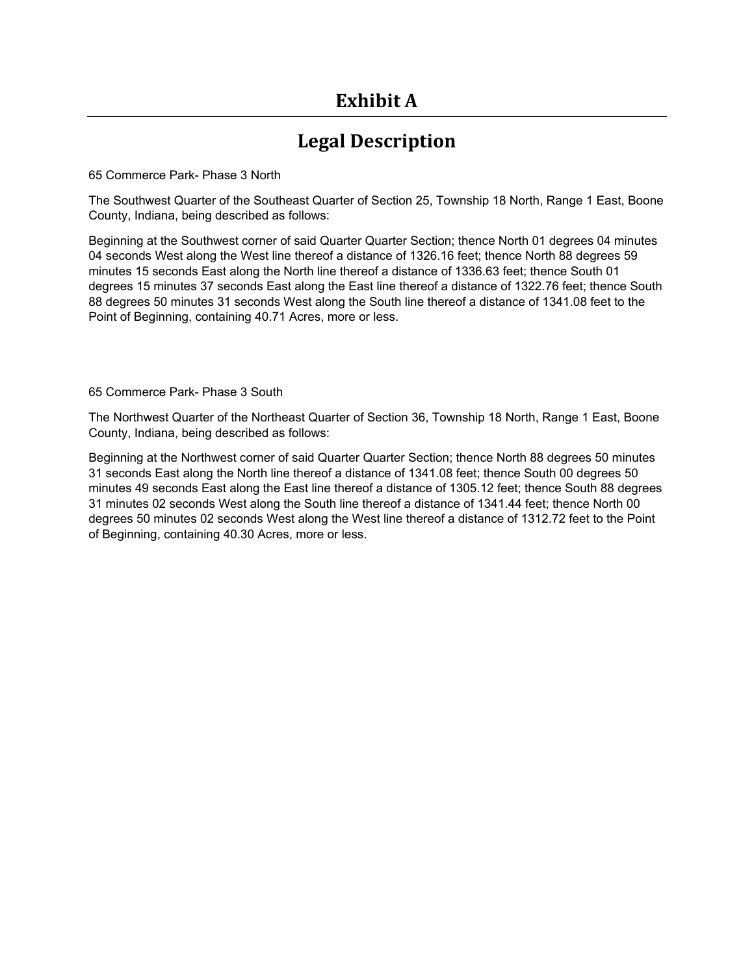# **Exhibit A**

## **Legal Description**

65 Commerce Park- Phase 3 North

The Southwest Quarter of the Southeast Quarter of Section 25, Township 18 North, Range 1 East, Boone County, Indiana, being described as follows:

Beginning at the Southwest corner of said Quarter Quarter Section; thence North 01 degrees 04 minutes 04 seconds West along the West line thereof a distance of 1326.16 feet; thence North 88 degrees 59 minutes 15 seconds East along the North line thereof a distance of 1336.63 feet; thence South 01 degrees 15 minutes 37 seconds East along the East line thereof a distance of 1322.76 feet; thence South 88 degrees 50 minutes 31 seconds West along the South line thereof a distance of 1341.08 feet to the Point of Beginning, containing 40.71 Acres, more or less.

65 Commerce Park- Phase 3 South

The Northwest Quarter of the Northeast Quarter of Section 36, Township 18 North, Range 1 East, Boone County, Indiana, being described as follows:

Beginning at the Northwest corner of said Quarter Quarter Section; thence North 88 degrees 50 minutes 31 seconds East along the North line thereof a distance of 1341.08 feet; thence South 00 degrees 50 minutes 49 seconds East along the East line thereof a distance of 1305.12 feet; thence South 88 degrees 31 minutes 02 seconds West along the South line thereof a distance of 1341.44 feet; thence North 00 degrees 50 minutes 02 seconds West along the West line thereof a distance of 1312.72 feet to the Point of Beginning, containing 40.30 Acres, more or less.